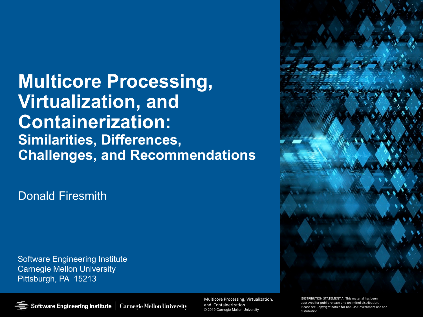**Multicore Processing, Virtualization, and Containerization: Similarities, Differences, Challenges, and Recommendations**

Donald Firesmith

Software Engineering Institute Carnegie Mellon University Pittsburgh, PA 15213



**Multicore Processing, Virtualization, & Containerization** Multicore Processing, Virtualization, and Containerization © 2019 Carnegie Mellon University © 2019 Carnegie Mellon University

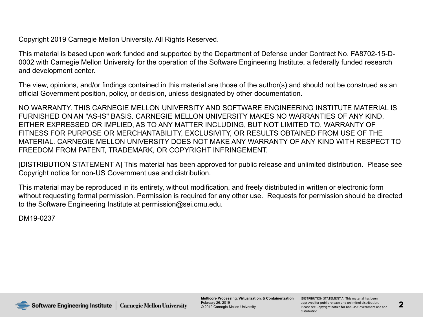Copyright 2019 Carnegie Mellon University. All Rights Reserved.

This material is based upon work funded and supported by the Department of Defense under Contract No. FA8702-15-D-0002 with Carnegie Mellon University for the operation of the Software Engineering Institute, a federally funded research and development center.

The view, opinions, and/or findings contained in this material are those of the author(s) and should not be construed as an official Government position, policy, or decision, unless designated by other documentation.

NO WARRANTY. THIS CARNEGIE MELLON UNIVERSITY AND SOFTWARE ENGINEERING INSTITUTE MATERIAL IS FURNISHED ON AN "AS-IS" BASIS. CARNEGIE MELLON UNIVERSITY MAKES NO WARRANTIES OF ANY KIND, EITHER EXPRESSED OR IMPLIED, AS TO ANY MATTER INCLUDING, BUT NOT LIMITED TO, WARRANTY OF FITNESS FOR PURPOSE OR MERCHANTABILITY, EXCLUSIVITY, OR RESULTS OBTAINED FROM USE OF THE MATERIAL. CARNEGIE MELLON UNIVERSITY DOES NOT MAKE ANY WARRANTY OF ANY KIND WITH RESPECT TO FREEDOM FROM PATENT, TRADEMARK, OR COPYRIGHT INFRINGEMENT.

[DISTRIBUTION STATEMENT A] This material has been approved for public release and unlimited distribution. Please see Copyright notice for non-US Government use and distribution.

This material may be reproduced in its entirety, without modification, and freely distributed in written or electronic form without requesting formal permission. Permission is required for any other use. Requests for permission should be directed to the Software Engineering Institute at permission@sei.cmu.edu.

DM19-0237



Software Engineering Institute | **Carnegie Mellon University**  **Multicore Processing, Virtualization, & Containerization** February 26, 2019 © 2019 Carnegie Mellon University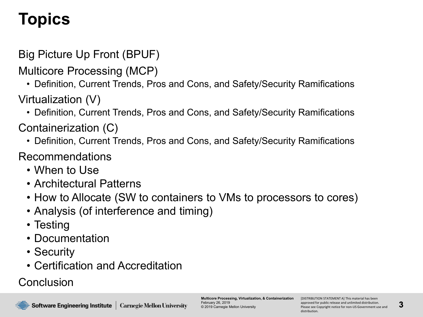# **Topics**

#### Big Picture Up Front (BPUF)

- Multicore Processing (MCP)
	- Definition, Current Trends, Pros and Cons, and Safety/Security Ramifications
- Virtualization (V)
	- Definition, Current Trends, Pros and Cons, and Safety/Security Ramifications
- Containerization (C)
	- Definition, Current Trends, Pros and Cons, and Safety/Security Ramifications
- Recommendations
	- When to Use
	- Architectural Patterns
	- How to Allocate (SW to containers to VMs to processors to cores)
	- Analysis (of interference and timing)
	- Testing
	- Documentation
	- Security
	- Certification and Accreditation

#### **Conclusion**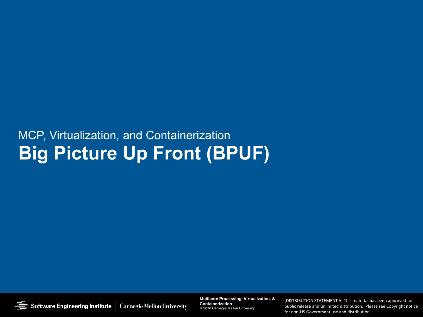#### MCP, Virtualization, and Containerization **Big Picture Up Front (BPUF)**

Software Engineering Institute | Carnegie Mellon University

**Multicore Processing, Virtualization, & Containerization Multicore Processing, Virtualization, & Containerization** © 2019 Carnegie Mellon University © 2018 Carnegie Mellon University.

[DISTRIBUTION STATEMENT A] This material has been approved for<br>public release and unlimited distribution. Please see Copyright notice [DISTRIBUTION STATEMENT A] This material has been approved for for non-US Government use and distribution.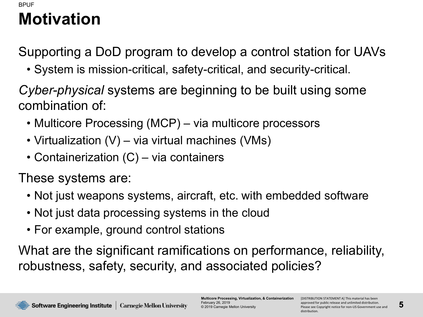#### **Motivation** BPUF

Supporting a DoD program to develop a control station for UAVs

• System is mission-critical, safety-critical, and security-critical.

*Cyber-physical* systems are beginning to be built using some combination of:

- Multicore Processing (MCP) via multicore processors
- Virtualization (V) via virtual machines (VMs)
- Containerization (C) via containers

These systems are:

- Not just weapons systems, aircraft, etc. with embedded software
- Not just data processing systems in the cloud
- For example, ground control stations

What are the significant ramifications on performance, reliability, robustness, safety, security, and associated policies?

**Multicore Processing, Virtualization, & Containerization** February 26, 2019 © 2019 Carnegie Mellon University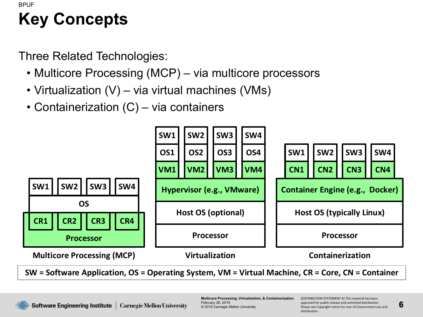#### **Key Concepts** BPUF

Three Related Technologies:

- Multicore Processing (MCP) via multicore processors
- Virtualization (V) via virtual machines (VMs)
- Containerization (C) via containers



**SW = Software Application, OS = Operating System, VM = Virtual Machine, CR = Core, CN = Container**



**Multicore Processing, Virtualization, & Containerization** February 26, 2019 © 2019 Carnegie Mellon University

[DISTRIBUTION STATEMENT A] This material has been approved for public release and unlimited distribution. Please see Copyright notice for non-US Government use and distribution.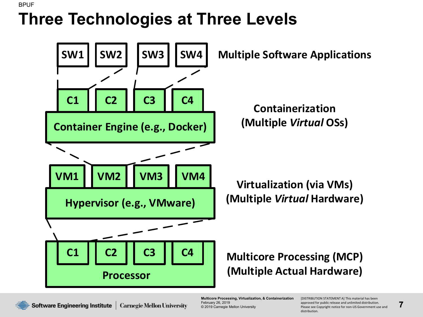#### **Three Technologies at Three Levels** BPUF



**Multicore Processing, Virtualization, & Containerization** February 26, 2019 © 2019 Carnegie Mellon University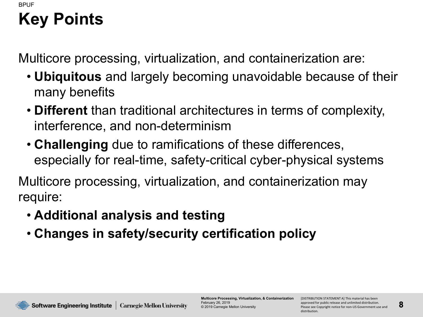#### **Key Points** BPUF

Multicore processing, virtualization, and containerization are:

- **Ubiquitous** and largely becoming unavoidable because of their many benefits
- **Different** than traditional architectures in terms of complexity, interference, and non-determinism
- **Challenging** due to ramifications of these differences, especially for real-time, safety-critical cyber-physical systems

Multicore processing, virtualization, and containerization may require:

- **Additional analysis and testing**
- **Changes in safety/security certification policy**

**Software Engineering Institute | Carnegie Mellon University** 

**Multicore Processing, Virtualization, & Containerization** February 26, 2019 © 2019 Carnegie Mellon University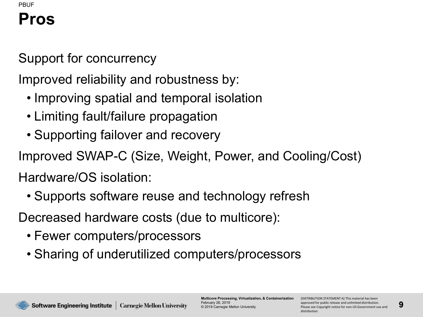#### **Pros** PBUF

Support for concurrency

Improved reliability and robustness by:

- Improving spatial and temporal isolation
- Limiting fault/failure propagation
- Supporting failover and recovery

Improved SWAP-C (Size, Weight, Power, and Cooling/Cost)

Hardware/OS isolation:

• Supports software reuse and technology refresh

Decreased hardware costs (due to multicore):

- Fewer computers/processors
- Sharing of underutilized computers/processors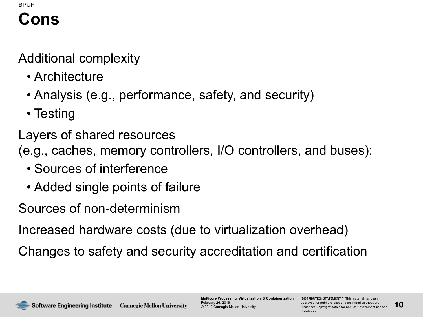#### **Cons** BPUF

Additional complexity

- Architecture
- Analysis (e.g., performance, safety, and security)
- Testing
- Layers of shared resources
- (e.g., caches, memory controllers, I/O controllers, and buses):
	- Sources of interference
	- Added single points of failure
- Sources of non-determinism

Increased hardware costs (due to virtualization overhead)

Changes to safety and security accreditation and certification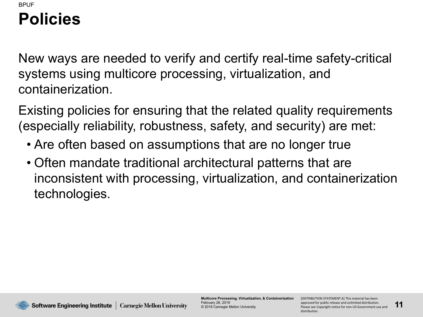#### **Policies**  BPUF

New ways are needed to verify and certify real-time safety-critical systems using multicore processing, virtualization, and containerization.

Existing policies for ensuring that the related quality requirements (especially reliability, robustness, safety, and security) are met:

- Are often based on assumptions that are no longer true
- Often mandate traditional architectural patterns that are inconsistent with processing, virtualization, and containerization technologies.

**Multicore Processing, Virtualization, & Containerization** February 26, 2019 © 2019 Carnegie Mellon University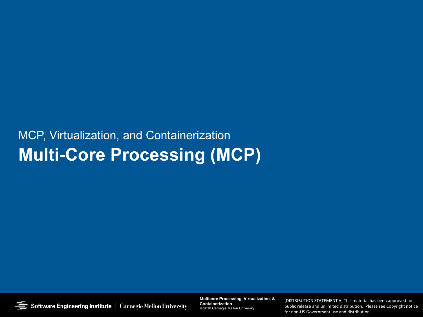#### MCP, Virtualization, and Containerization **Multi-Core Processing (MCP)**

Software Engineering Institute | Carnegie Mellon University

**Multicore Processing, Virtualization, & Containerization Multicore Processing, Virtualization, & Containerization** © 2019 Carnegie Mellon University © 2018 Carnegie Mellon University.

**12** Please see Copyright notice for non-US Government use and public release and unlimited distribution. Please see Copyright notice [DISTRIBUTION STATEMENT A] This material has been approved for public release and unlimited distribution. [DISTRIBUTION STATEMENT A] This material has been approved for for non-US Government use and distribution.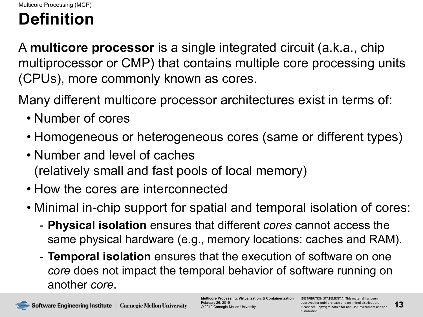### **Definition**

A **multicore processor** is a single integrated circuit (a.k.a., chip multiprocessor or CMP) that contains multiple core processing units (CPUs), more commonly known as cores.

Many different multicore processor architectures exist in terms of:

- Number of cores
- Homogeneous or heterogeneous cores (same or different types)
- Number and level of caches (relatively small and fast pools of local memory)
- How the cores are interconnected
- Minimal in-chip support for spatial and temporal isolation of cores:
	- **Physical isolation** ensures that different *cores* cannot access the same physical hardware (e.g., memory locations: caches and RAM).
	- **Temporal isolation** ensures that the execution of software on one *core* does not impact the temporal behavior of software running on another *core*.

**Multicore Processing, Virtualization, & Containerization** February 26, 2019 © 2019 Carnegie Mellon University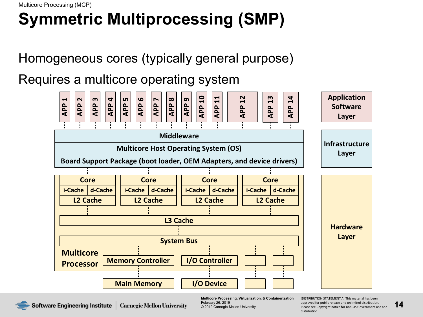# **Symmetric Multiprocessing (SMP)**

Homogeneous cores (typically general purpose)

Requires a multicore operating system



Software Engineering Institute | **Carnegie Mellon University** 

**Multicore Processing, Virtualization, & Containerization** February 26, 2019 © 2019 Carnegie Mellon University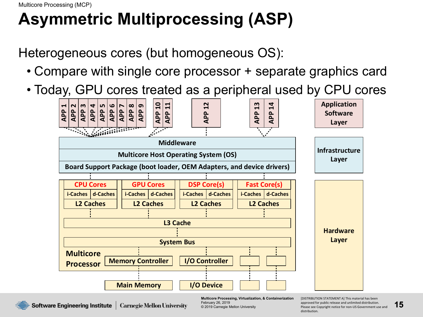Multicore Processing (MCP)

# **Asymmetric Multiprocessing (ASP)**

Heterogeneous cores (but homogeneous OS):

- Compare with single core processor + separate graphics card
- Today, GPU cores treated as a peripheral used by CPU cores



**Multicore Processing, Virtualization, & Containerization** February 26, 2019 © 2019 Carnegie Mellon University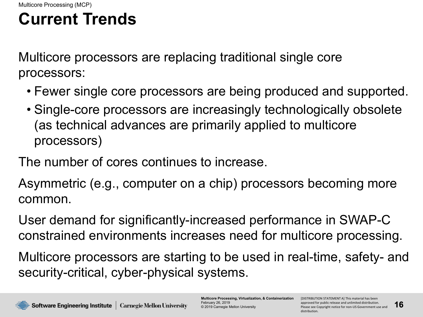## **Current Trends**

Multicore processors are replacing traditional single core processors:

- Fewer single core processors are being produced and supported.
- Single-core processors are increasingly technologically obsolete (as technical advances are primarily applied to multicore processors)

The number of cores continues to increase.

Asymmetric (e.g., computer on a chip) processors becoming more common.

User demand for significantly-increased performance in SWAP-C constrained environments increases need for multicore processing.

Multicore processors are starting to be used in real-time, safety- and security-critical, cyber-physical systems.

**Multicore Processing, Virtualization, & Containerization** February 26, 2019 © 2019 Carnegie Mellon University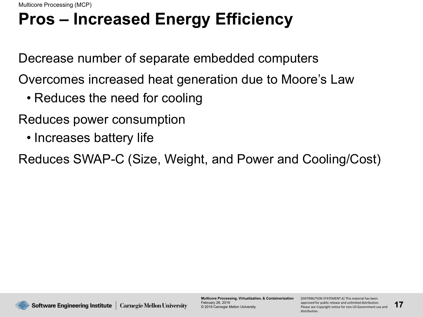# **Pros – Increased Energy Efficiency**

Decrease number of separate embedded computers

Overcomes increased heat generation due to Moore's Law

• Reduces the need for cooling

Reduces power consumption

• Increases battery life

Reduces SWAP-C (Size, Weight, and Power and Cooling/Cost)



**Multicore Processing, Virtualization, & Containerization** February 26, 2019 © 2019 Carnegie Mellon University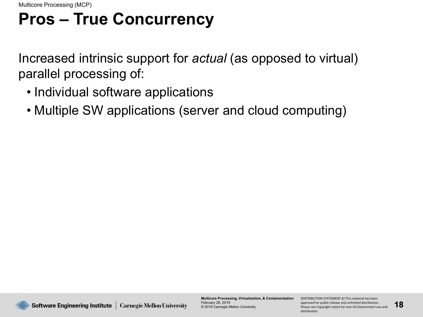### **Pros – True Concurrency**

Increased intrinsic support for *actual* (as opposed to virtual) parallel processing of:

- Individual software applications
- Multiple SW applications (server and cloud computing)



**Multicore Processing, Virtualization, & Containerization** February 26, 2019 © 2019 Carnegie Mellon University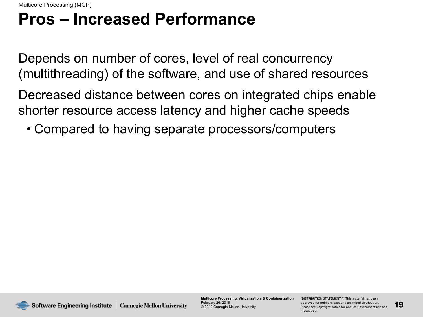### **Pros – Increased Performance**

Depends on number of cores, level of real concurrency (multithreading) of the software, and use of shared resources

Decreased distance between cores on integrated chips enable shorter resource access latency and higher cache speeds

• Compared to having separate processors/computers



**Multicore Processing, Virtualization, & Containerization** February 26, 2019 © 2019 Carnegie Mellon University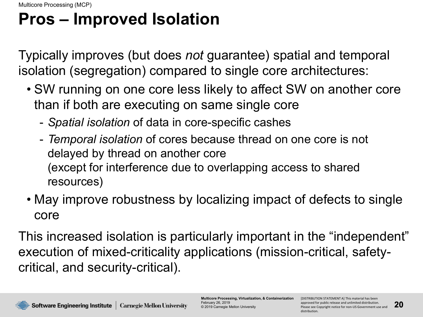# **Pros – Improved Isolation**

Typically improves (but does *not* guarantee) spatial and temporal isolation (segregation) compared to single core architectures:

- SW running on one core less likely to affect SW on another core than if both are executing on same single core
	- *Spatial isolation* of data in core-specific cashes
	- *Temporal isolation* of cores because thread on one core is not delayed by thread on another core (except for interference due to overlapping access to shared resources)
- May improve robustness by localizing impact of defects to single core

This increased isolation is particularly important in the "independent" execution of mixed-criticality applications (mission-critical, safetycritical, and security-critical).

**Multicore Processing, Virtualization, & Containerization** February 26, 2019 © 2019 Carnegie Mellon University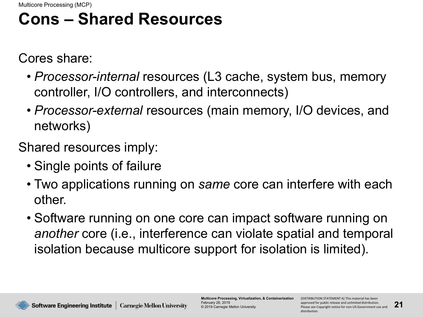### **Cons – Shared Resources**

Cores share:

- *Processor-internal* resources (L3 cache, system bus, memory controller, I/O controllers, and interconnects)
- *Processor-external* resources (main memory, I/O devices, and networks)

Shared resources imply:

- Single points of failure
- Two applications running on *same* core can interfere with each other.
- Software running on one core can impact software running on *another* core (i.e., interference can violate spatial and temporal isolation because multicore support for isolation is limited).

**Software Engineering Institute | Carnegie Mellon University** 

**Multicore Processing, Virtualization, & Containerization** February 26, 2019 © 2019 Carnegie Mellon University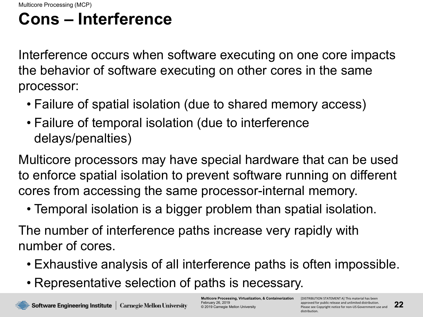### **Cons – Interference**

Interference occurs when software executing on one core impacts the behavior of software executing on other cores in the same processor:

- Failure of spatial isolation (due to shared memory access)
- Failure of temporal isolation (due to interference delays/penalties)

Multicore processors may have special hardware that can be used to enforce spatial isolation to prevent software running on different cores from accessing the same processor-internal memory.

• Temporal isolation is a bigger problem than spatial isolation.

The number of interference paths increase very rapidly with number of cores.

- Exhaustive analysis of all interference paths is often impossible.
- Representative selection of paths is necessary.

**Multicore Processing, Virtualization, & Containerization** February 26, 2019 © 2019 Carnegie Mellon University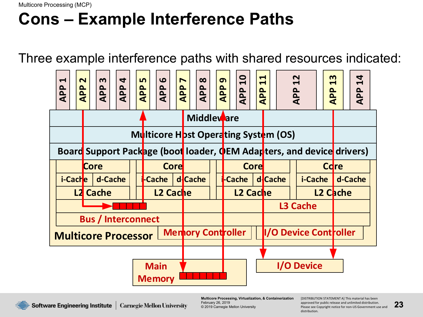## **Cons – Example Interference Paths**

Three example interference paths with shared resources indicated:



Software Engineering Institute | Carnegie Mellon University

**Multicore Processing, Virtualization, & Containerization** February 26, 2019 © 2019 Carnegie Mellon University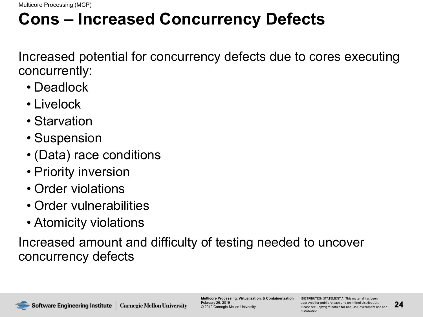### **Cons – Increased Concurrency Defects**

Increased potential for concurrency defects due to cores executing concurrently:

- Deadlock
- Livelock
- Starvation
- Suspension
- (Data) race conditions
- Priority inversion
- Order violations
- Order vulnerabilities
- Atomicity violations

Increased amount and difficulty of testing needed to uncover concurrency defects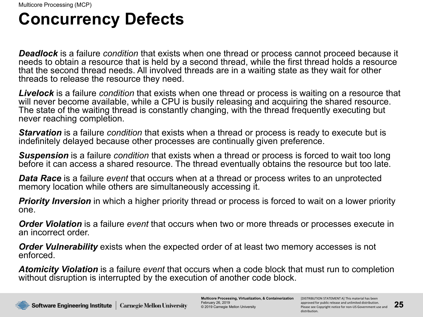### **Concurrency Defects**

*Deadlock* is a failure *condition* that exists when one thread or process cannot proceed because it needs to obtain a resource that is held by a second thread, while the first thread holds a resource that the second thread needs. All involved threads are in a waiting state as they wait for other threads to release the resource they need.

*Livelock* is a failure *condition* that exists when one thread or process is waiting on a resource that will never become available, while a CPU is busily releasing and acquiring the shared resource. The state of the waiting thread is constantly changing, with the thread frequently executing but never reaching completion.

*Starvation* is a failure *condition* that exists when a thread or process is ready to execute but is indefinitely delayed because other processes are continually given preference.

*Suspension* is a failure *condition* that exists when a thread or process is forced to wait too long before it can access a shared resource. The thread eventually obtains the resource but too late.

*Data Race* is a failure *event* that occurs when at a thread or process writes to an unprotected memory location while others are simultaneously accessing it.

*Priority Inversion* in which a higher priority thread or process is forced to wait on a lower priority one.

*Order Violation* is a failure *event* that occurs when two or more threads or processes execute in an incorrect order.

*Order Vulnerability* exists when the expected order of at least two memory accesses is not enforced.

*Atomicity Violation* is a failure *event* that occurs when a code block that must run to completion without disruption is interrupted by the execution of another code block.

**Multicore Processing, Virtualization, & Containerization** February 26, 2019 © 2019 Carnegie Mellon University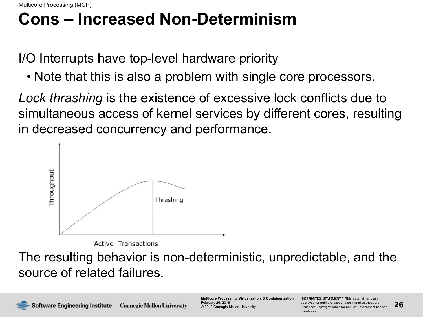Multicore Processing (MCP)

### **Cons – Increased Non-Determinism**

I/O Interrupts have top-level hardware priority

• Note that this is also a problem with single core processors.

*Lock thrashing* is the existence of excessive lock conflicts due to simultaneous access of kernel services by different cores, resulting in decreased concurrency and performance.



**Active Transactions** 

The resulting behavior is non-deterministic, unpredictable, and the source of related failures.

**Multicore Processing, Virtualization, & Containerization** February 26, 2019 © 2019 Carnegie Mellon University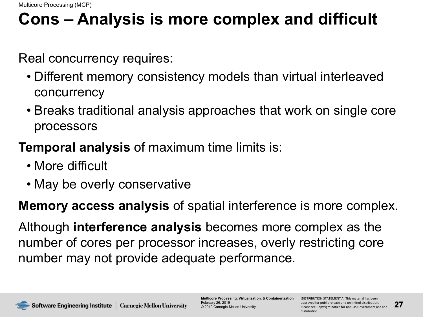## **Cons – Analysis is more complex and difficult**

Real concurrency requires:

- Different memory consistency models than virtual interleaved concurrency
- Breaks traditional analysis approaches that work on single core processors

#### **Temporal analysis** of maximum time limits is:

- More difficult
- May be overly conservative

**Memory access analysis** of spatial interference is more complex.

Although **interference analysis** becomes more complex as the number of cores per processor increases, overly restricting core number may not provide adequate performance.



**Multicore Processing, Virtualization, & Containerization** February 26, 2019 © 2019 Carnegie Mellon University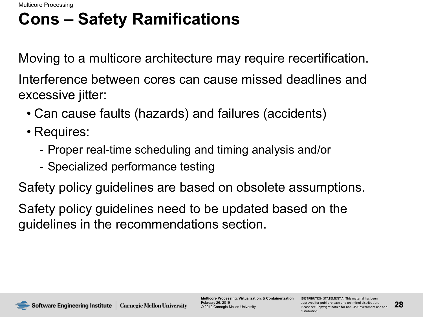Multicore Processing

### **Cons – Safety Ramifications**

Moving to a multicore architecture may require recertification.

Interference between cores can cause missed deadlines and excessive jitter:

- Can cause faults (hazards) and failures (accidents)
- Requires:
	- Proper real-time scheduling and timing analysis and/or
	- Specialized performance testing

Safety policy guidelines are based on obsolete assumptions.

Safety policy guidelines need to be updated based on the guidelines in the recommendations section.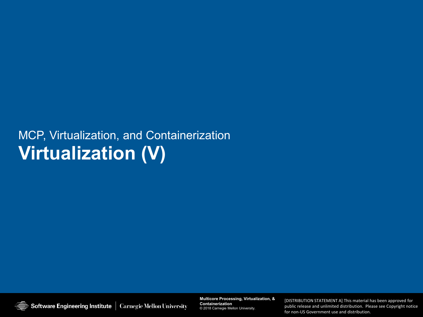#### MCP, Virtualization, and Containerization **Virtualization (V)**

Software Engineering Institute | Carnegie Mellon University

**Multicore Processing, Virtualization, & Containerization Multicore Processing, Virtualization, & Containerization** © 2019 Carnegie Mellon University © 2018 Carnegie Mellon University.

**29** Please see Copyright notice for non-US Government use and public release and unlimited distribution. Please see Copyright notice [DISTRIBUTION STATEMENT A] This material has been approved for public release and unlimited distribution. [DISTRIBUTION STATEMENT A] This material has been approved for for non-US Government use and distribution.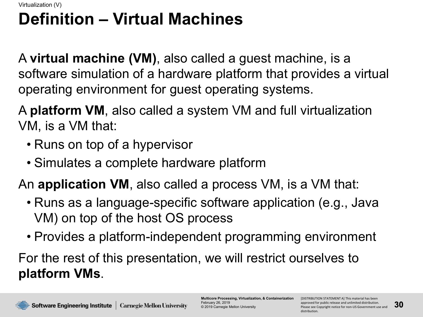#### **Definition – Virtual Machines** Virtualization (V)

A **virtual machine (VM)**, also called a guest machine, is a software simulation of a hardware platform that provides a virtual operating environment for guest operating systems.

A **platform VM**, also called a system VM and full virtualization VM, is a VM that:

- Runs on top of a hypervisor
- Simulates a complete hardware platform

An **application VM**, also called a process VM, is a VM that:

- Runs as a language-specific software application (e.g., Java VM) on top of the host OS process
- Provides a platform-independent programming environment

For the rest of this presentation, we will restrict ourselves to **platform VMs**.

**Multicore Processing, Virtualization, & Containerization** February 26, 2019 © 2019 Carnegie Mellon University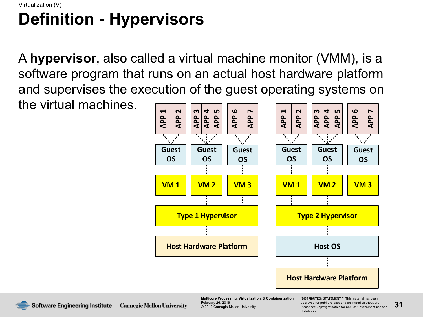#### **Definition - Hypervisors** Virtualization (V)

A **hypervisor**, also called a virtual machine monitor (VMM), is a software program that runs on an actual host hardware platform and supervises the execution of the guest operating systems on the virtual machines.



**Multicore Processing, Virtualization, & Containerization** February 26, 2019 © 2019 Carnegie Mellon University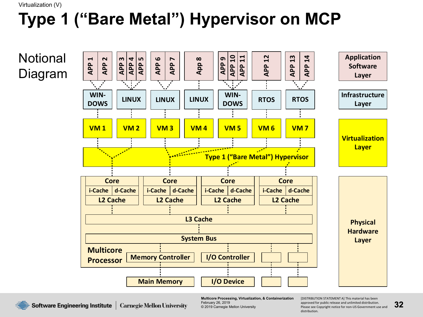# **Type 1 ("Bare Metal") Hypervisor on MCP**

**Notional** Diagram



Software Engineering Institute **Carnegie Mellon University** 

**Multicore Processing, Virtualization, & Containerization** February 26, 2019 © 2019 Carnegie Mellon University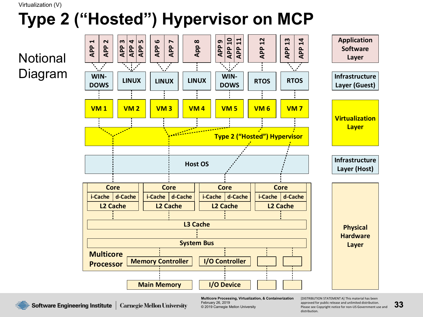# **Type 2 ("Hosted") Hypervisor on MCP**

**Notional** Diagram



**Multicore Processing, Virtualization, & Containerization** February 26, 2019 © 2019 Carnegie Mellon University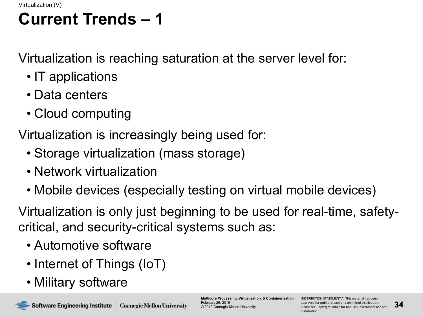# **Current Trends – 1**

Virtualization is reaching saturation at the server level for:

- IT applications
- Data centers
- Cloud computing

Virtualization is increasingly being used for:

- Storage virtualization (mass storage)
- Network virtualization
- Mobile devices (especially testing on virtual mobile devices)

Virtualization is only just beginning to be used for real-time, safetycritical, and security-critical systems such as:

- Automotive software
- Internet of Things (IoT)
- Military software

**Multicore Processing, Virtualization, & Containerization** February 26, 2019 © 2019 Carnegie Mellon University

[DISTRIBUTION STATEMENT A] This material has been approved for public release and unlimited distribution. Please see Copyright notice for non-US Government use and distribution.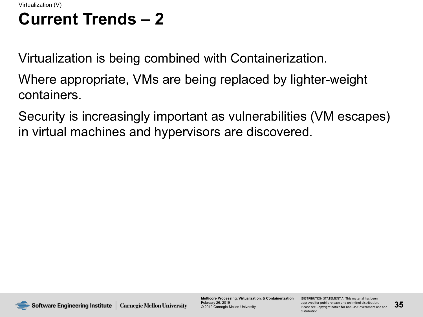### **Current Trends – 2**

Virtualization is being combined with Containerization.

Where appropriate, VMs are being replaced by lighter-weight containers.

Security is increasingly important as vulnerabilities (VM escapes) in virtual machines and hypervisors are discovered.



**Multicore Processing, Virtualization, & Containerization** February 26, 2019 © 2019 Carnegie Mellon University

[DISTRIBUTION STATEMENT A] This material has been approved for public release and unlimited distribution. Please see Copyright notice for non-US Government use and distribution.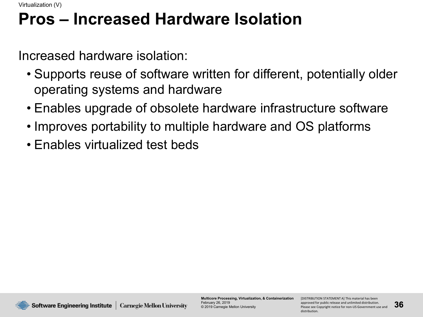### **Pros – Increased Hardware Isolation**

Increased hardware isolation:

- Supports reuse of software written for different, potentially older operating systems and hardware
- Enables upgrade of obsolete hardware infrastructure software
- Improves portability to multiple hardware and OS platforms
- Enables virtualized test beds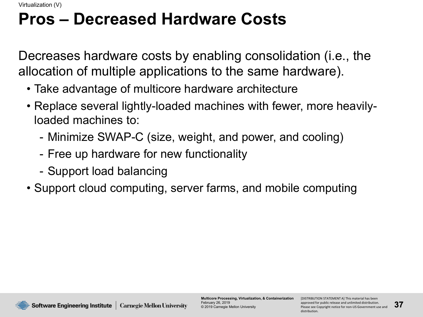#### **Pros – Decreased Hardware Costs**

Decreases hardware costs by enabling consolidation (i.e., the allocation of multiple applications to the same hardware).

- Take advantage of multicore hardware architecture
- Replace several lightly-loaded machines with fewer, more heavilyloaded machines to:
	- Minimize SWAP-C (size, weight, and power, and cooling)
	- Free up hardware for new functionality
	- Support load balancing
- Support cloud computing, server farms, and mobile computing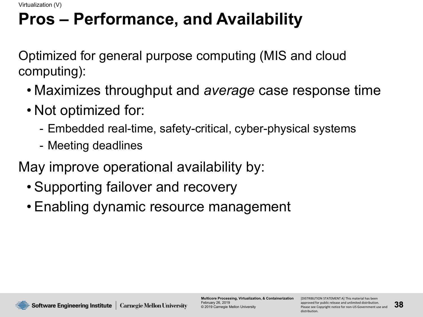#### **Pros – Performance, and Availability**

Optimized for general purpose computing (MIS and cloud computing):

- Maximizes throughput and *average* case response time
- Not optimized for:
	- Embedded real-time, safety-critical, cyber-physical systems
	- Meeting deadlines

May improve operational availability by:

- Supporting failover and recovery
- Enabling dynamic resource management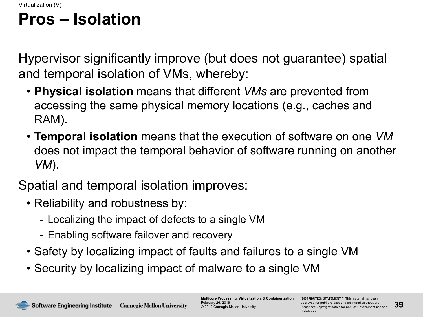## **Pros – Isolation**

Hypervisor significantly improve (but does not guarantee) spatial and temporal isolation of VMs, whereby:

- **Physical isolation** means that different *VMs* are prevented from accessing the same physical memory locations (e.g., caches and RAM).
- **Temporal isolation** means that the execution of software on one *VM* does not impact the temporal behavior of software running on another *VM*).

#### Spatial and temporal isolation improves:

- Reliability and robustness by:
	- Localizing the impact of defects to a single VM
	- Enabling software failover and recovery
- Safety by localizing impact of faults and failures to a single VM
- Security by localizing impact of malware to a single VM

**Multicore Processing, Virtualization, & Containerization** February 26, 2019 © 2019 Carnegie Mellon University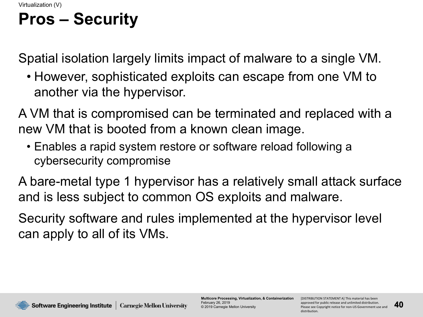# **Pros – Security**

Spatial isolation largely limits impact of malware to a single VM.

• However, sophisticated exploits can escape from one VM to another via the hypervisor.

A VM that is compromised can be terminated and replaced with a new VM that is booted from a known clean image.

• Enables a rapid system restore or software reload following a cybersecurity compromise

A bare-metal type 1 hypervisor has a relatively small attack surface and is less subject to common OS exploits and malware.

Security software and rules implemented at the hypervisor level can apply to all of its VMs.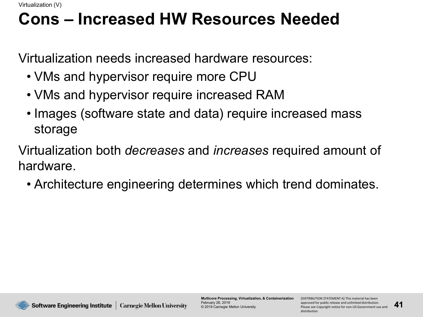#### **Cons – Increased HW Resources Needed**

Virtualization needs increased hardware resources:

- VMs and hypervisor require more CPU
- VMs and hypervisor require increased RAM
- Images (software state and data) require increased mass storage
- Virtualization both *decreases* and *increases* required amount of hardware.
	- Architecture engineering determines which trend dominates.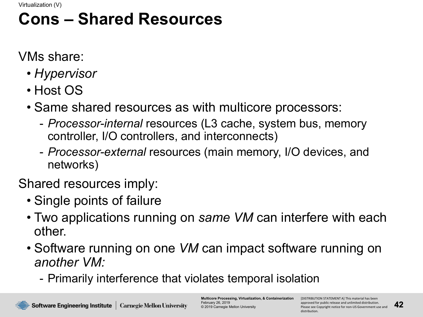#### **Cons – Shared Resources**

VMs share:

- *Hypervisor*
- Host OS
- Same shared resources as with multicore processors:
	- *Processor-internal* resources (L3 cache, system bus, memory controller, I/O controllers, and interconnects)
	- *Processor-external* resources (main memory, I/O devices, and networks)

Shared resources imply:

- Single points of failure
- Two applications running on *same VM* can interfere with each other.
- Software running on one *VM* can impact software running on *another VM:*
	- Primarily interference that violates temporal isolation

**Multicore Processing, Virtualization, & Containerization** February 26, 2019 © 2019 Carnegie Mellon University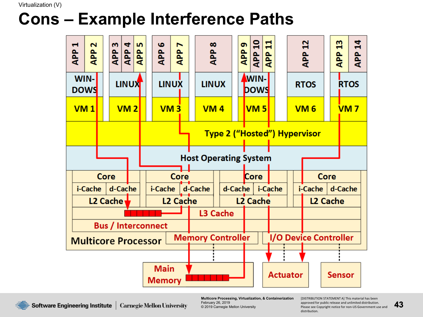#### **Cons – Example Interference Paths**



**Multicore Processing, Virtualization, & Containerization** February 26, 2019 © 2019 Carnegie Mellon University

[DISTRIBUTION STATEMENT A] This material has been approved for public release and unlimited distribution. Please see Copyright notice for non-US Government use and distribution.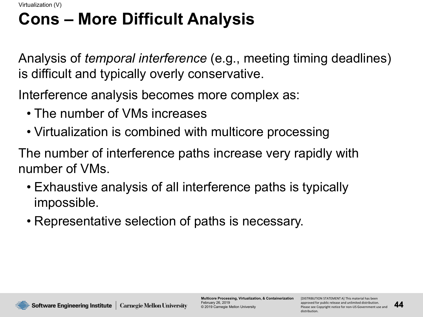#### **Cons – More Difficult Analysis**

Analysis of *temporal interference* (e.g., meeting timing deadlines) is difficult and typically overly conservative.

Interference analysis becomes more complex as:

- The number of VMs increases
- Virtualization is combined with multicore processing

The number of interference paths increase very rapidly with number of VMs.

- Exhaustive analysis of all interference paths is typically impossible.
- Representative selection of paths is necessary.

**Software Engineering Institute | Carnegie Mellon University** 

**Multicore Processing, Virtualization, & Containerization** February 26, 2019 © 2019 Carnegie Mellon University

[DISTRIBUTION STATEMENT A] This material has been approved for public release and unlimited distribution. Please see Copyright notice for non-US Government use and distribution.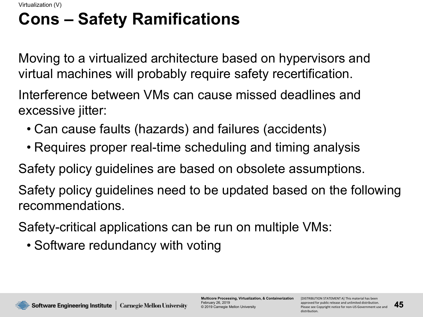# **Cons – Safety Ramifications**

Moving to a virtualized architecture based on hypervisors and virtual machines will probably require safety recertification.

Interference between VMs can cause missed deadlines and excessive jitter:

- Can cause faults (hazards) and failures (accidents)
- Requires proper real-time scheduling and timing analysis

Safety policy guidelines are based on obsolete assumptions.

Safety policy guidelines need to be updated based on the following recommendations.

Safety-critical applications can be run on multiple VMs:

• Software redundancy with voting

**Software Engineering Institute | Carnegie Mellon University** 

**Multicore Processing, Virtualization, & Containerization** February 26, 2019 © 2019 Carnegie Mellon University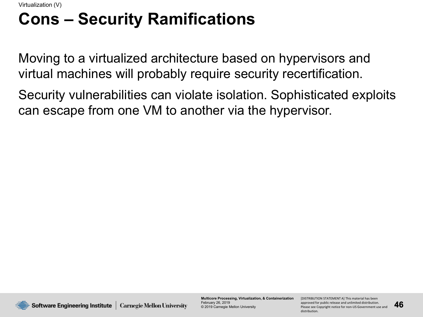#### **Cons – Security Ramifications**

Moving to a virtualized architecture based on hypervisors and virtual machines will probably require security recertification.

Security vulnerabilities can violate isolation. Sophisticated exploits can escape from one VM to another via the hypervisor.

**Multicore Processing, Virtualization, & Containerization** February 26, 2019 © 2019 Carnegie Mellon University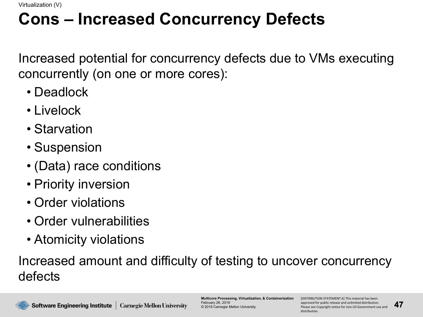#### **Cons – Increased Concurrency Defects**

Increased potential for concurrency defects due to VMs executing concurrently (on one or more cores):

- Deadlock
- Livelock
- Starvation
- Suspension
- (Data) race conditions
- Priority inversion
- Order violations
- Order vulnerabilities
- Atomicity violations

Increased amount and difficulty of testing to uncover concurrency defects

**Multicore Processing, Virtualization, & Containerization** February 26, 2019 © 2019 Carnegie Mellon University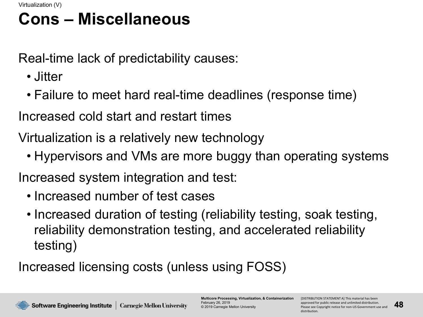#### **Cons – Miscellaneous**

Real-time lack of predictability causes:

- Jitter
- Failure to meet hard real-time deadlines (response time)

Increased cold start and restart times

Virtualization is a relatively new technology

• Hypervisors and VMs are more buggy than operating systems

Increased system integration and test:

- Increased number of test cases
- Increased duration of testing (reliability testing, soak testing, reliability demonstration testing, and accelerated reliability testing)

Increased licensing costs (unless using FOSS)

**Multicore Processing, Virtualization, & Containerization** February 26, 2019 © 2019 Carnegie Mellon University

[DISTRIBUTION STATEMENT A] This material has been approved for public release and unlimited distribution. Please see Copyright notice for non-US Government use and distribution.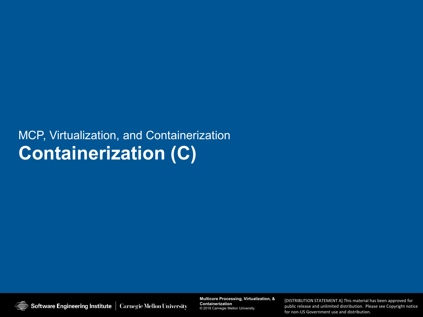#### MCP, Virtualization, and Containerization **Containerization (C)**

Software Engineering Institute | Carnegie Mellon University

**Multicore Processing, Virtualization, & Containerization Multicore Processing, Virtualization, & Containerization** © 2019 Carnegie Mellon University © 2018 Carnegie Mellon University.

**49** Please see Copyright notice for non-US Government use and public release and unlimited distribution. Please see Copyright notice [DISTRIBUTION STATEMENT A] This material has been approved for public release and unlimited distribution. [DISTRIBUTION STATEMENT A] This material has been approved for for non-US Government use and distribution.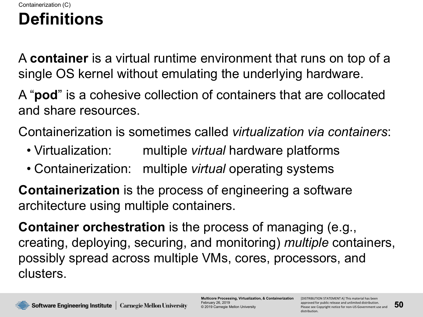#### **Definitions** Containerization (C)

A **container** is a virtual runtime environment that runs on top of a single OS kernel without emulating the underlying hardware.

A "**pod**" is a cohesive collection of containers that are collocated and share resources.

Containerization is sometimes called *virtualization via containers*:

- Virtualization: multiple *virtual* hardware platforms
- Containerization: multiple *virtual* operating systems

**Containerization** is the process of engineering a software architecture using multiple containers.

**Container orchestration** is the process of managing (e.g., creating, deploying, securing, and monitoring) *multiple* containers, possibly spread across multiple VMs, cores, processors, and clusters.

**Multicore Processing, Virtualization, & Containerization** February 26, 2019 © 2019 Carnegie Mellon University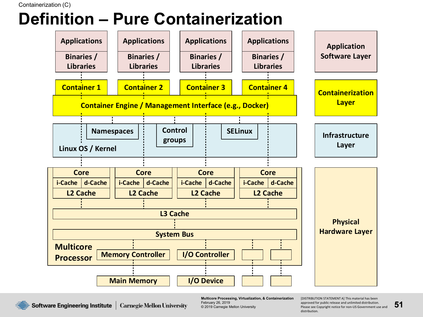## **Definition – Pure Containerization**



**Software Engineering Institute** | Carnegie Mellon University

**Multicore Processing, Virtualization, & Containerization** February 26, 2019 © 2019 Carnegie Mellon University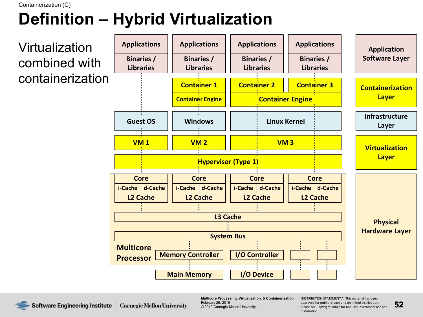# **Definition – Hybrid Virtualization**



**Multicore Processing, Virtualization, & Containerization** February 26, 2019 © 2019 Carnegie Mellon University

[DISTRIBUTION STATEMENT A] This material has been approved for public release and unlimited distribution. Please see Copyright notice for non-US Government use and distribution.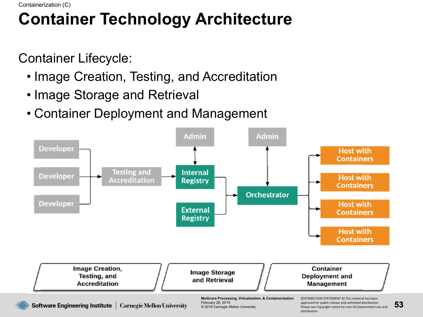# **Container Technology Architecture**

Container Lifecycle:

- Image Creation, Testing, and Accreditation
- Image Storage and Retrieval
- Container Deployment and Management

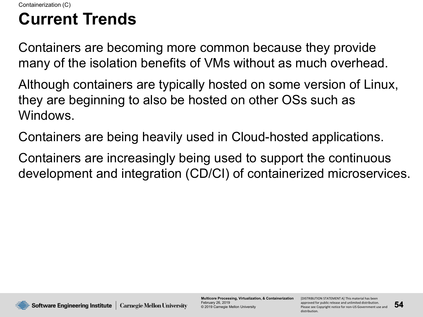## **Current Trends**

Containers are becoming more common because they provide many of the isolation benefits of VMs without as much overhead.

Although containers are typically hosted on some version of Linux, they are beginning to also be hosted on other OSs such as Windows.

Containers are being heavily used in Cloud-hosted applications.

Containers are increasingly being used to support the continuous development and integration (CD/CI) of containerized microservices.

**Multicore Processing, Virtualization, & Containerization** February 26, 2019 © 2019 Carnegie Mellon University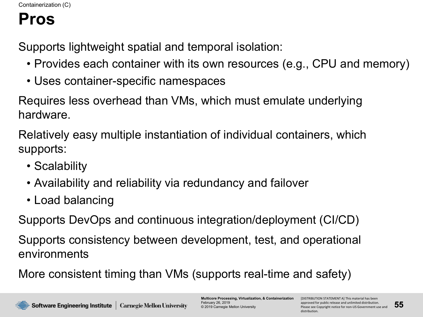#### **Pros**

Supports lightweight spatial and temporal isolation:

- Provides each container with its own resources (e.g., CPU and memory)
- Uses container-specific namespaces

Requires less overhead than VMs, which must emulate underlying hardware.

Relatively easy multiple instantiation of individual containers, which supports:

- Scalability
- Availability and reliability via redundancy and failover
- Load balancing

Supports DevOps and continuous integration/deployment (CI/CD)

Supports consistency between development, test, and operational environments

More consistent timing than VMs (supports real-time and safety)

**Multicore Processing, Virtualization, & Containerization** February 26, 2019 © 2019 Carnegie Mellon University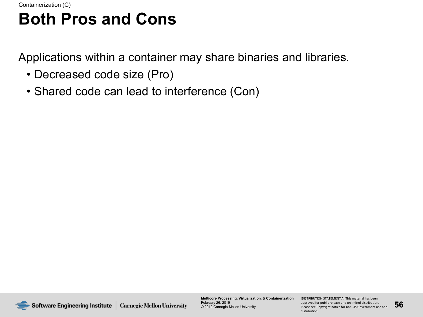#### **Both Pros and Cons**

Applications within a container may share binaries and libraries.

- Decreased code size (Pro)
- Shared code can lead to interference (Con)



**Multicore Processing, Virtualization, & Containerization** February 26, 2019 © 2019 Carnegie Mellon University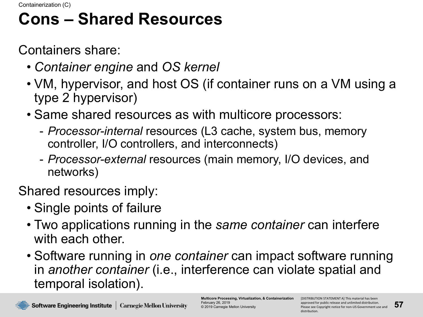#### **Cons – Shared Resources**

Containers share:

- *Container engine* and *OS kernel*
- VM, hypervisor, and host OS (if container runs on a VM using a type 2 hypervisor)
- Same shared resources as with multicore processors:
	- *Processor-internal* resources (L3 cache, system bus, memory controller, I/O controllers, and interconnects)
	- *Processor-external* resources (main memory, I/O devices, and networks)

Shared resources imply:

- Single points of failure
- Two applications running in the *same container* can interfere with each other.
- Software running in *one container* can impact software running in *another container* (i.e., interference can violate spatial and temporal isolation).

**Multicore Processing, Virtualization, & Containerization** February 26, 2019 © 2019 Carnegie Mellon University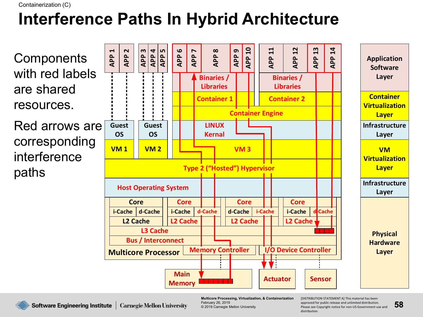Containerization (C)

# **Interference Paths In Hybrid Architecture**



**Multicore Processing, Virtualization, & Containerization** February 26, 2019 © 2019 Carnegie Mellon University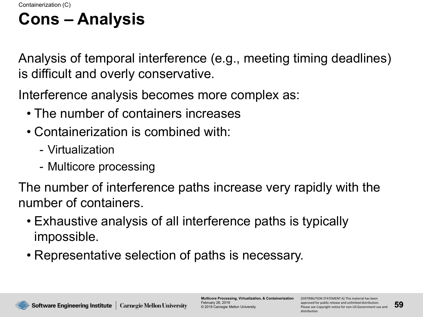## **Cons – Analysis**

Analysis of temporal interference (e.g., meeting timing deadlines) is difficult and overly conservative.

Interference analysis becomes more complex as:

- The number of containers increases
- Containerization is combined with:
	- Virtualization
	- Multicore processing

The number of interference paths increase very rapidly with the number of containers.

- Exhaustive analysis of all interference paths is typically impossible.
- Representative selection of paths is necessary.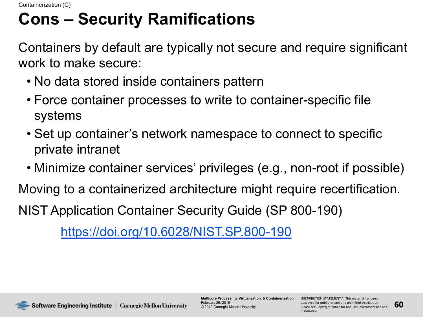## **Cons – Security Ramifications**

Containers by default are typically not secure and require significant work to make secure:

- No data stored inside containers pattern
- Force container processes to write to container-specific file systems
- Set up container's network namespace to connect to specific private intranet
- Minimize container services' privileges (e.g., non-root if possible)

Moving to a containerized architecture might require recertification. NIST Application Container Security Guide (SP 800-190)

<https://doi.org/10.6028/NIST.SP.800-190>



**Multicore Processing, Virtualization, & Containerization** February 26, 2019 © 2019 Carnegie Mellon University

[DISTRIBUTION STATEMENT A] This material has been approved for public release and unlimited distribution. Please see Copyright notice for non-US Government use and distribution.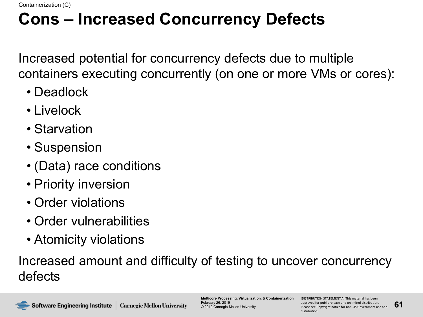#### **Cons – Increased Concurrency Defects**

Increased potential for concurrency defects due to multiple containers executing concurrently (on one or more VMs or cores):

- Deadlock
- Livelock
- Starvation
- Suspension
- (Data) race conditions
- Priority inversion
- Order violations
- Order vulnerabilities
- Atomicity violations

Increased amount and difficulty of testing to uncover concurrency defects

**Multicore Processing, Virtualization, & Containerization** February 26, 2019 © 2019 Carnegie Mellon University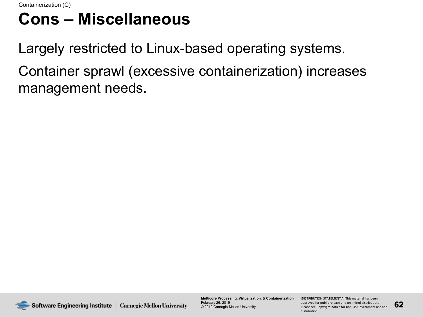#### **Cons – Miscellaneous**

Largely restricted to Linux-based operating systems. Container sprawl (excessive containerization) increases management needs.



**Multicore Processing, Virtualization, & Containerization** February 26, 2019 © 2019 Carnegie Mellon University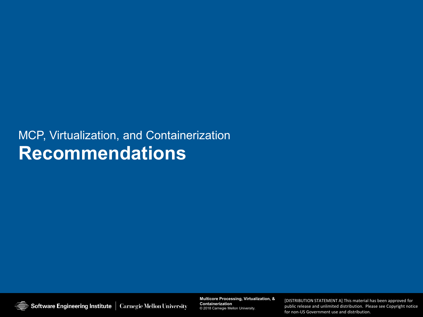#### MCP, Virtualization, and Containerization **Recommendations**

Software Engineering Institute | Carnegie Mellon University

**Multicore Processing, Virtualization, & Containerization Multicore Processing, Virtualization, & Containerization** © 2019 Carnegie Mellon University © 2018 Carnegie Mellon University.

[DISTRIBUTION STATEMENT A] This material has been approved for<br>public release and unlimited distribution. Please see Copyright notice [DISTRIBUTION STATEMENT A] This material has been approved for for non-US Government use and distribution.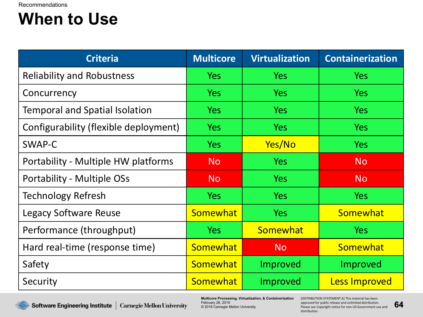#### **When to Use**

| <b>Criteria</b>                       | <b>Multicore</b> | <b>Virtualization</b> | <b>Containerization</b> |
|---------------------------------------|------------------|-----------------------|-------------------------|
| <b>Reliability and Robustness</b>     | Yes              | <b>Yes</b>            | <b>Yes</b>              |
| Concurrency                           | <b>Yes</b>       | Yes                   | <b>Yes</b>              |
| <b>Temporal and Spatial Isolation</b> | <b>Yes</b>       | <b>Yes</b>            | <b>Yes</b>              |
| Configurability (flexible deployment) | <b>Yes</b>       | <b>Yes</b>            | <b>Yes</b>              |
| SWAP-C                                | <b>Yes</b>       | Yes/No                | <b>Yes</b>              |
| Portability - Multiple HW platforms   | <b>No</b>        | <b>Yes</b>            | <b>No</b>               |
| Portability - Multiple OSs            | <b>No</b>        | <b>Yes</b>            | <b>No</b>               |
| <b>Technology Refresh</b>             | <b>Yes</b>       | <b>Yes</b>            | <b>Yes</b>              |
| Legacy Software Reuse                 | Somewhat         | <b>Yes</b>            | Somewhat                |
| Performance (throughput)              | Yes              | Somewhat              | <b>Yes</b>              |
| Hard real-time (response time)        | Somewhat         | <b>No</b>             | Somewhat                |
| Safety                                | <b>Somewhat</b>  | Improved              | Improved                |
| Security                              | Somewhat         | Improved              | <b>Less Improved</b>    |



**Multicore Processing, Virtualization, & Containerization** February 26, 2019 © 2019 Carnegie Mellon University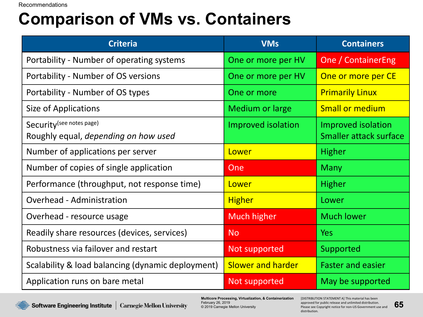Recommendations

#### **Comparison of VMs vs. Containers**

| <b>Criteria</b>                                                   | <b>VMs</b>                | <b>Containers</b>                            |
|-------------------------------------------------------------------|---------------------------|----------------------------------------------|
| Portability - Number of operating systems                         | One or more per HV        | <b>One / ContainerEng</b>                    |
| Portability - Number of OS versions                               | One or more per HV        | One or more per CE                           |
| Portability - Number of OS types                                  | One or more               | <b>Primarily Linux</b>                       |
| Size of Applications                                              | <b>Medium or large</b>    | <b>Small or medium</b>                       |
| Security (see notes page)<br>Roughly equal, depending on how used | <b>Improved isolation</b> | Improved isolation<br>Smaller attack surface |
| Number of applications per server                                 | Lower                     | <b>Higher</b>                                |
| Number of copies of single application                            | One                       | <b>Many</b>                                  |
| Performance (throughput, not response time)                       | Lower                     | <b>Higher</b>                                |
| <b>Overhead - Administration</b>                                  | <b>Higher</b>             | Lower                                        |
| Overhead - resource usage                                         | Much higher               | <b>Much lower</b>                            |
| Readily share resources (devices, services)                       | <b>No</b>                 | <b>Yes</b>                                   |
| Robustness via failover and restart                               | Not supported             | Supported                                    |
| Scalability & load balancing (dynamic deployment)                 | <b>Slower and harder</b>  | <b>Faster and easier</b>                     |
| Application runs on bare metal                                    | Not supported             | May be supported                             |

Software Engineering Institute | Carnegie Mellon University

**Multicore Processing, Virtualization, & Containerization** February 26, 2019 © 2019 Carnegie Mellon University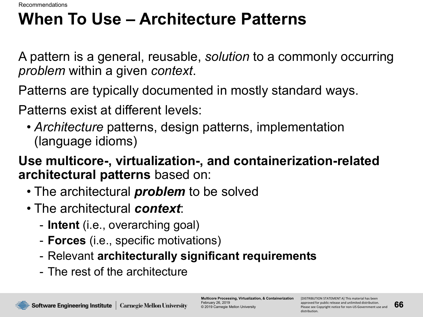Recommendations

## **When To Use – Architecture Patterns**

A pattern is a general, reusable, *solution* to a commonly occurring *problem* within a given *context*.

Patterns are typically documented in mostly standard ways.

Patterns exist at different levels:

• *Architecture* patterns, design patterns, implementation (language idioms)

**Use multicore-, virtualization-, and containerization-related architectural patterns** based on:

- The architectural *problem* to be solved
- The architectural *context*:
	- **Intent** (i.e., overarching goal)
	- **Forces** (i.e., specific motivations)
	- Relevant **architecturally significant requirements**
	- The rest of the architecture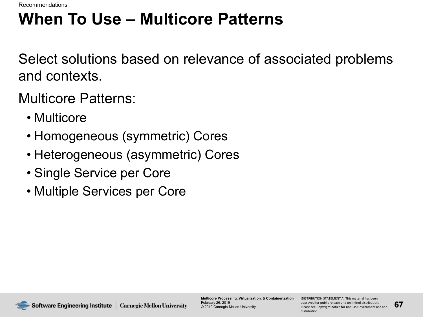Recommendations

## **When To Use – Multicore Patterns**

Select solutions based on relevance of associated problems and contexts.

Multicore Patterns:

- Multicore
- Homogeneous (symmetric) Cores
- Heterogeneous (asymmetric) Cores
- Single Service per Core
- Multiple Services per Core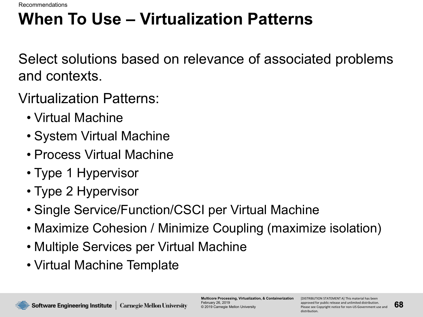Recommendations

# **When To Use – Virtualization Patterns**

Select solutions based on relevance of associated problems and contexts.

Virtualization Patterns:

- Virtual Machine
- System Virtual Machine
- Process Virtual Machine
- Type 1 Hypervisor
- Type 2 Hypervisor
- Single Service/Function/CSCI per Virtual Machine
- Maximize Cohesion / Minimize Coupling (maximize isolation)
- Multiple Services per Virtual Machine
- Virtual Machine Template

**Multicore Processing, Virtualization, & Containerization** February 26, 2019 © 2019 Carnegie Mellon University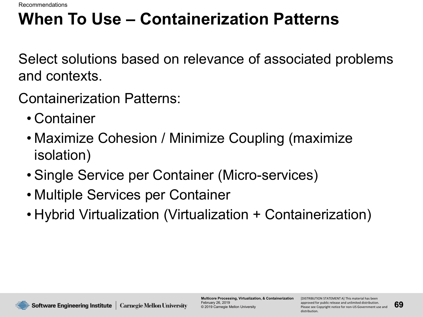Recommendations

## **When To Use – Containerization Patterns**

Select solutions based on relevance of associated problems and contexts.

Containerization Patterns:

- Container
- Maximize Cohesion / Minimize Coupling (maximize isolation)
- Single Service per Container (Micro-services)
- Multiple Services per Container
- Hybrid Virtualization (Virtualization + Containerization)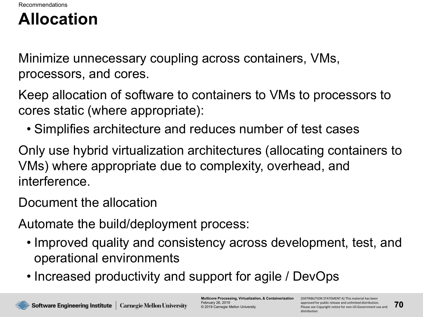#### **Allocation**

Minimize unnecessary coupling across containers, VMs, processors, and cores.

Keep allocation of software to containers to VMs to processors to cores static (where appropriate):

• Simplifies architecture and reduces number of test cases

Only use hybrid virtualization architectures (allocating containers to VMs) where appropriate due to complexity, overhead, and interference.

Document the allocation

Automate the build/deployment process:

- Improved quality and consistency across development, test, and operational environments
- Increased productivity and support for agile / DevOps

**Multicore Processing, Virtualization, & Containerization** February 26, 2019 © 2019 Carnegie Mellon University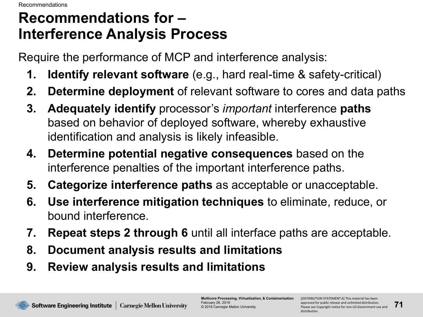#### **Recommendations for – Interference Analysis Process**

Require the performance of MCP and interference analysis:

- **1. Identify relevant software** (e.g., hard real-time & safety-critical)
- **2. Determine deployment** of relevant software to cores and data paths
- **3. Adequately identify** processor's *important* interference **paths** based on behavior of deployed software, whereby exhaustive identification and analysis is likely infeasible.
- **4. Determine potential negative consequences** based on the interference penalties of the important interference paths.
- **5. Categorize interference paths** as acceptable or unacceptable.
- **6. Use interference mitigation techniques** to eliminate, reduce, or bound interference.
- **7. Repeat steps 2 through 6** until all interface paths are acceptable.
- **8. Document analysis results and limitations**
- **9. Review analysis results and limitations**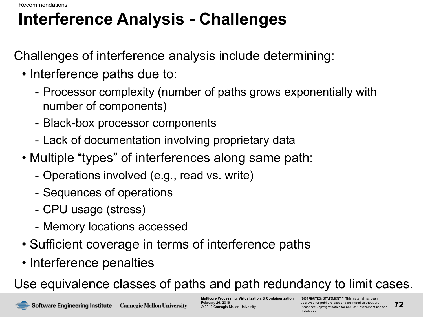Recommendations

## **Interference Analysis - Challenges**

Challenges of interference analysis include determining:

- Interference paths due to:
	- Processor complexity (number of paths grows exponentially with number of components)
	- Black-box processor components
	- Lack of documentation involving proprietary data
- Multiple "types" of interferences along same path:
	- Operations involved (e.g., read vs. write)
	- Sequences of operations
	- CPU usage (stress)
	- Memory locations accessed
- Sufficient coverage in terms of interference paths
- Interference penalties

Use equivalence classes of paths and path redundancy to limit cases.

**Multicore Processing, Virtualization, & Containerization** February 26, 2019 © 2019 Carnegie Mellon University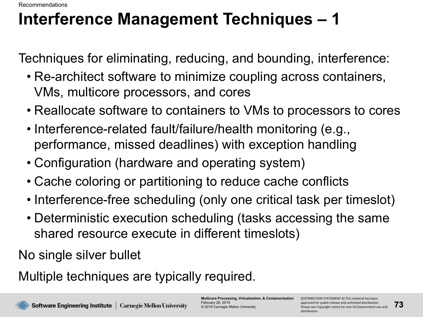Recommendations

## **Interference Management Techniques – 1**

Techniques for eliminating, reducing, and bounding, interference:

- Re-architect software to minimize coupling across containers, VMs, multicore processors, and cores
- Reallocate software to containers to VMs to processors to cores
- Interference-related fault/failure/health monitoring (e.g., performance, missed deadlines) with exception handling
- Configuration (hardware and operating system)
- Cache coloring or partitioning to reduce cache conflicts
- Interference-free scheduling (only one critical task per timeslot)
- Deterministic execution scheduling (tasks accessing the same shared resource execute in different timeslots)

No single silver bullet

Multiple techniques are typically required.

**Multicore Processing, Virtualization, & Containerization** February 26, 2019 © 2019 Carnegie Mellon University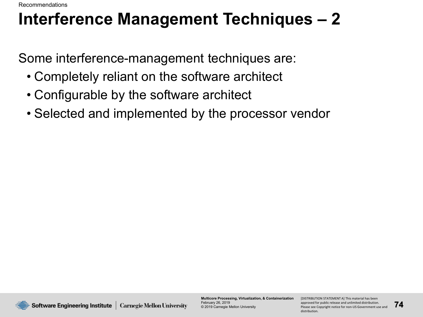Recommendations

## **Interference Management Techniques – 2**

Some interference-management techniques are:

- Completely reliant on the software architect
- Configurable by the software architect
- Selected and implemented by the processor vendor



**Multicore Processing, Virtualization, & Containerization** February 26, 2019 © 2019 Carnegie Mellon University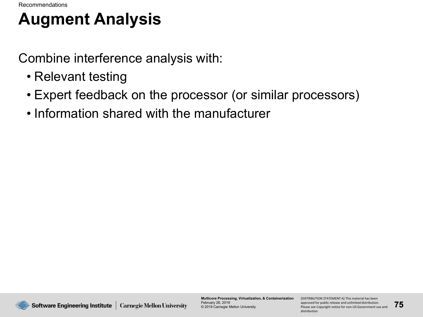## **Augment Analysis**

Combine interference analysis with:

- Relevant testing
- Expert feedback on the processor (or similar processors)
- Information shared with the manufacturer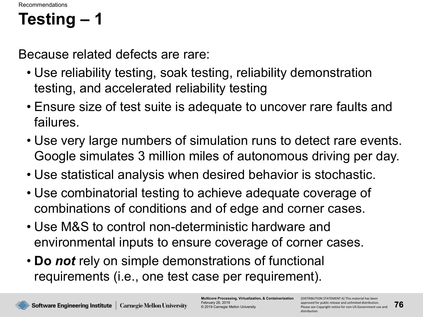## **Testing – 1**

Because related defects are rare:

- Use reliability testing, soak testing, reliability demonstration testing, and accelerated reliability testing
- Ensure size of test suite is adequate to uncover rare faults and failures.
- Use very large numbers of simulation runs to detect rare events. Google simulates 3 million miles of autonomous driving per day.
- Use statistical analysis when desired behavior is stochastic.
- Use combinatorial testing to achieve adequate coverage of combinations of conditions and of edge and corner cases.
- Use M&S to control non-deterministic hardware and environmental inputs to ensure coverage of corner cases.
- **Do** *not* rely on simple demonstrations of functional requirements (i.e., one test case per requirement).

**Multicore Processing, Virtualization, & Containerization** February 26, 2019 © 2019 Carnegie Mellon University

[DISTRIBUTION STATEMENT A] This material has been approved for public release and unlimited distribution. Please see Copyright notice for non-US Government use and distribution.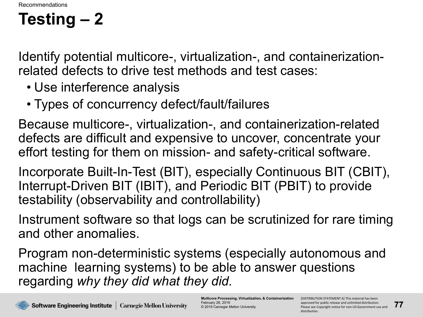## **Testing – 2**

Identify potential multicore-, virtualization-, and containerizationrelated defects to drive test methods and test cases:

- Use interference analysis
- Types of concurrency defect/fault/failures

Because multicore-, virtualization-, and containerization-related defects are difficult and expensive to uncover, concentrate your effort testing for them on mission- and safety-critical software.

Incorporate Built-In-Test (BIT), especially Continuous BIT (CBIT), Interrupt-Driven BIT (IBIT), and Periodic BIT (PBIT) to provide testability (observability and controllability)

Instrument software so that logs can be scrutinized for rare timing and other anomalies.

Program non-deterministic systems (especially autonomous and machine learning systems) to be able to answer questions regarding *why they did what they did*.

**Multicore Processing, Virtualization, & Containerization** February 26, 2019 © 2019 Carnegie Mellon University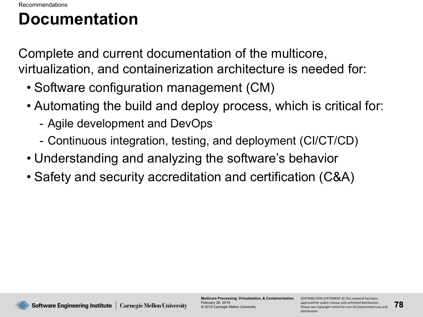#### **Documentation**

Complete and current documentation of the multicore, virtualization, and containerization architecture is needed for:

- Software configuration management (CM)
- Automating the build and deploy process, which is critical for:
	- Agile development and DevOps
	- Continuous integration, testing, and deployment (CI/CT/CD)
- Understanding and analyzing the software's behavior
- Safety and security accreditation and certification (C&A)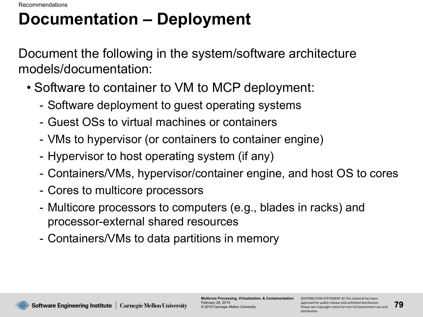#### **Documentation – Deployment**

Document the following in the system/software architecture models/documentation:

- Software to container to VM to MCP deployment:
	- Software deployment to guest operating systems
	- Guest OSs to virtual machines or containers
	- VMs to hypervisor (or containers to container engine)
	- Hypervisor to host operating system (if any)
	- Containers/VMs, hypervisor/container engine, and host OS to cores
	- Cores to multicore processors
	- Multicore processors to computers (e.g., blades in racks) and processor-external shared resources
	- Containers/VMs to data partitions in memory

**Software Engineering Institute | Carnegie Mellon University** 

**Multicore Processing, Virtualization, & Containerization** February 26, 2019 © 2019 Carnegie Mellon University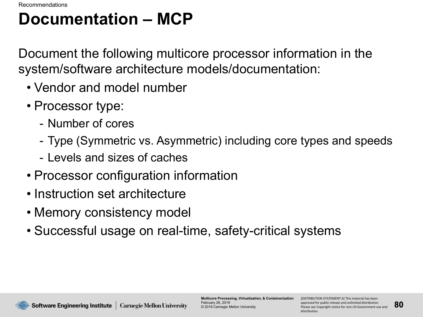#### **Documentation – MCP**

Document the following multicore processor information in the system/software architecture models/documentation:

- Vendor and model number
- Processor type:
	- Number of cores
	- Type (Symmetric vs. Asymmetric) including core types and speeds
	- Levels and sizes of caches
- Processor configuration information
- Instruction set architecture
- Memory consistency model
- Successful usage on real-time, safety-critical systems

Software Engineering Institute | Carnegie Mellon University

**Multicore Processing, Virtualization, & Containerization** February 26, 2019 © 2019 Carnegie Mellon University

[DISTRIBUTION STATEMENT A] This material has been approved for public release and unlimited distribution. Please see Copyright notice for non-US Government use and distribution.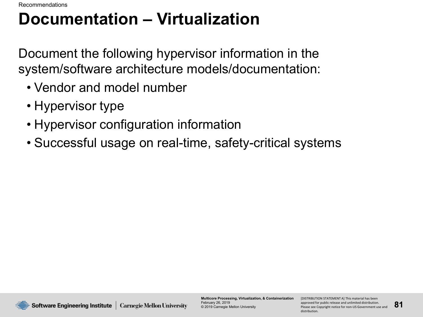## **Documentation – Virtualization**

Document the following hypervisor information in the system/software architecture models/documentation:

- Vendor and model number
- Hypervisor type
- Hypervisor configuration information
- Successful usage on real-time, safety-critical systems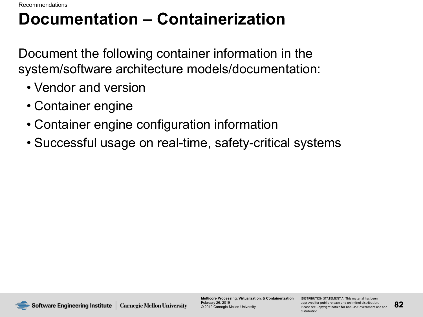## **Documentation – Containerization**

Document the following container information in the system/software architecture models/documentation:

- Vendor and version
- Container engine
- Container engine configuration information
- Successful usage on real-time, safety-critical systems

**Multicore Processing, Virtualization, & Containerization** February 26, 2019 © 2019 Carnegie Mellon University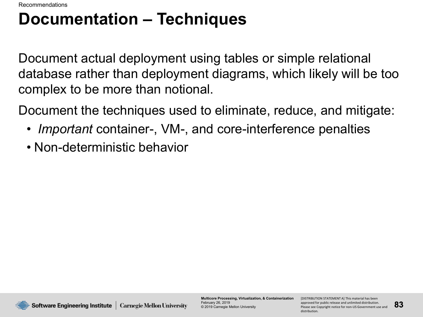### **Documentation – Techniques**

Document actual deployment using tables or simple relational database rather than deployment diagrams, which likely will be too complex to be more than notional.

Document the techniques used to eliminate, reduce, and mitigate:

- *Important* container-, VM-, and core-interference penalties
- Non-deterministic behavior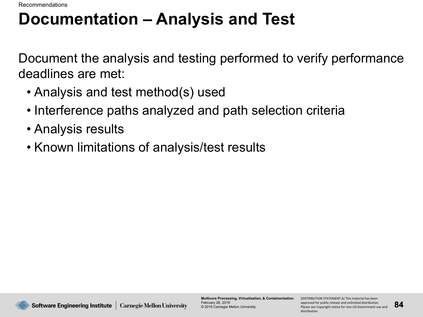Recommendations

#### **Documentation – Analysis and Test**

Document the analysis and testing performed to verify performance deadlines are met:

- Analysis and test method(s) used
- Interference paths analyzed and path selection criteria
- Analysis results
- Known limitations of analysis/test results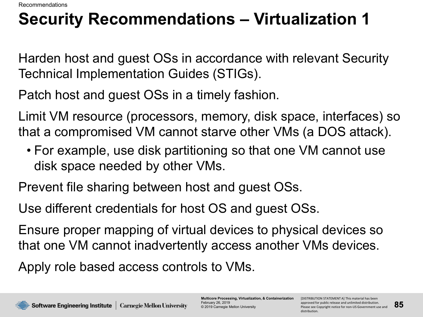## **Security Recommendations – Virtualization 1**

Harden host and guest OSs in accordance with relevant Security Technical Implementation Guides (STIGs).

Patch host and guest OSs in a timely fashion.

Limit VM resource (processors, memory, disk space, interfaces) so that a compromised VM cannot starve other VMs (a DOS attack).

• For example, use disk partitioning so that one VM cannot use disk space needed by other VMs.

Prevent file sharing between host and guest OSs.

Use different credentials for host OS and guest OSs.

Ensure proper mapping of virtual devices to physical devices so that one VM cannot inadvertently access another VMs devices.

Apply role based access controls to VMs.

**Multicore Processing, Virtualization, & Containerization** February 26, 2019 © 2019 Carnegie Mellon University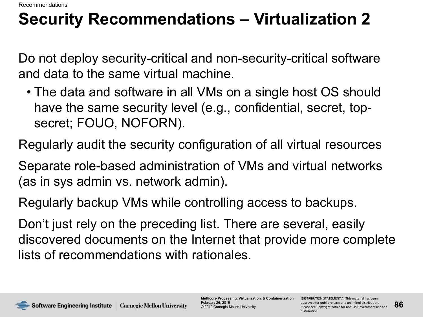## **Security Recommendations – Virtualization 2**

Do not deploy security-critical and non-security-critical software and data to the same virtual machine.

• The data and software in all VMs on a single host OS should have the same security level (e.g., confidential, secret, topsecret; FOUO, NOFORN).

Regularly audit the security configuration of all virtual resources

Separate role-based administration of VMs and virtual networks (as in sys admin vs. network admin).

Regularly backup VMs while controlling access to backups.

Don't just rely on the preceding list. There are several, easily discovered documents on the Internet that provide more complete lists of recommendations with rationales.



**Multicore Processing, Virtualization, & Containerization** February 26, 2019 © 2019 Carnegie Mellon University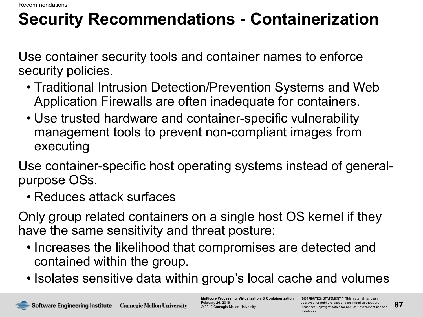Recommendations

# **Security Recommendations - Containerization**

Use container security tools and container names to enforce security policies.

- Traditional Intrusion Detection/Prevention Systems and Web Application Firewalls are often inadequate for containers.
- Use trusted hardware and container-specific vulnerability management tools to prevent non-compliant images from executing

Use container-specific host operating systems instead of generalpurpose OSs.

• Reduces attack surfaces

Only group related containers on a single host OS kernel if they have the same sensitivity and threat posture:

- Increases the likelihood that compromises are detected and contained within the group.
- Isolates sensitive data within group's local cache and volumes

**Multicore Processing, Virtualization, & Containerization** February 26, 2019 © 2019 Carnegie Mellon University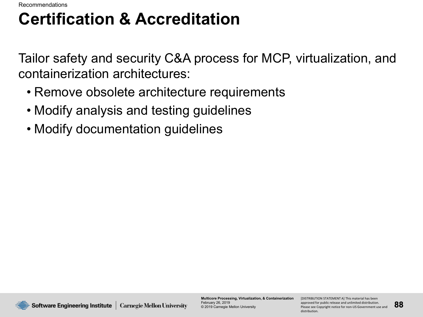## **Certification & Accreditation**

Tailor safety and security C&A process for MCP, virtualization, and containerization architectures:

- Remove obsolete architecture requirements
- Modify analysis and testing guidelines
- Modify documentation guidelines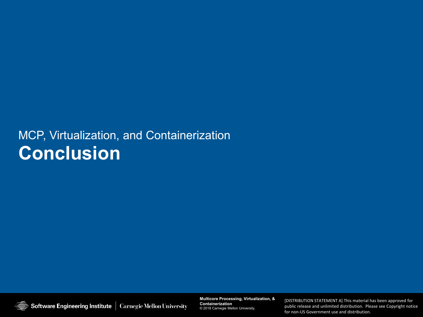#### MCP, Virtualization, and Containerization **Conclusion**

Software Engineering Institute | Carnegie Mellon University

**Multicore Processing, Virtualization, & Containerization Multicore Processing, Virtualization, & Containerization** © 2019 Carnegie Mellon University © 2018 Carnegie Mellon University.

**89** Please see Copyright notice for non-US Government use and public release and unlimited distribution. Please see Copyright notice [DISTRIBUTION STATEMENT A] This material has been approved for public release and unlimited distribution. [DISTRIBUTION STATEMENT A] This material has been approved for for non-US Government use and distribution.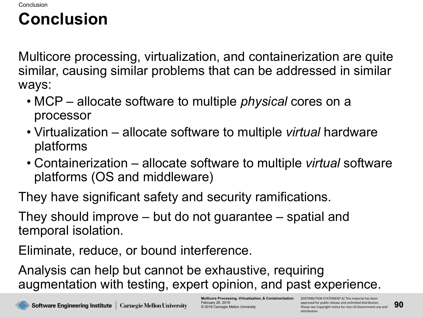## **Conclusion**

Multicore processing, virtualization, and containerization are quite similar, causing similar problems that can be addressed in similar ways:

- MCP allocate software to multiple *physical* cores on a processor
- Virtualization allocate software to multiple *virtual* hardware platforms
- Containerization allocate software to multiple *virtual* software platforms (OS and middleware)

They have significant safety and security ramifications.

They should improve – but do not guarantee – spatial and temporal isolation.

Eliminate, reduce, or bound interference.

Analysis can help but cannot be exhaustive, requiring augmentation with testing, expert opinion, and past experience.

**Multicore Processing, Virtualization, & Containerization** February 26, 2019 © 2019 Carnegie Mellon University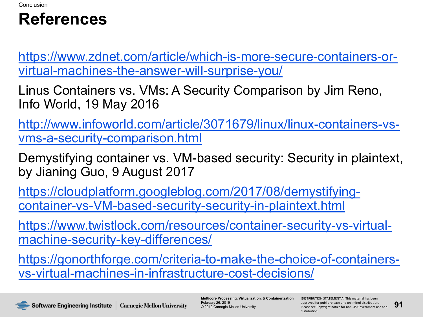#### **References**

[https://www.zdnet.com/article/which-is-more-secure-containers-or](https://www.zdnet.com/article/which-is-more-secure-containers-or-virtual-machines-the-answer-will-surprise-you/)virtual-machines-the-answer-will-surprise-you/

Linus Containers vs. VMs: A Security Comparison by Jim Reno, Info World, 19 May 2016

[http://www.infoworld.com/article/3071679/linux/linux-containers-vs](http://www.infoworld.com/article/3071679/linux/linux-containers-vs-vms-a-security-comparison.html)vms-a-security-comparison.html

Demystifying container vs. VM-based security: Security in plaintext, by Jianing Guo, 9 August 2017

[https://cloudplatform.googleblog.com/2017/08/demystifying](https://cloudplatform.googleblog.com/2017/08/demystifying-container-vs-VM-based-security-security-in-plaintext.html)container-vs-VM-based-security-security-in-plaintext.html

[https://www.twistlock.com/resources/container-security-vs-virtual](https://www.twistlock.com/resources/container-security-vs-virtual-machine-security-key-differences/)machine-security-key-differences/

[https://gonorthforge.com/criteria-to-make-the-choice-of-containers](https://gonorthforge.com/criteria-to-make-the-choice-of-containers-vs-virtual-machines-in-infrastructure-cost-decisions/)vs-virtual-machines-in-infrastructure-cost-decisions/

**Multicore Processing, Virtualization, & Containerization** February 26, 2019 © 2019 Carnegie Mellon University